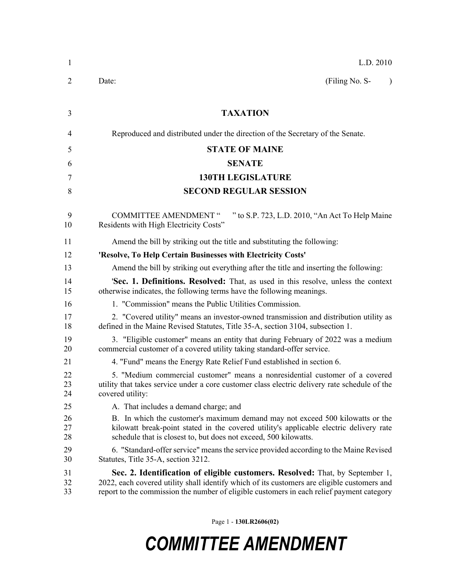| $\mathbf{1}$   | L.D. 2010                                                                                                                                                                                                                                                                 |  |  |
|----------------|---------------------------------------------------------------------------------------------------------------------------------------------------------------------------------------------------------------------------------------------------------------------------|--|--|
| 2              | (Filing No. S-<br>Date:<br>$\lambda$                                                                                                                                                                                                                                      |  |  |
| 3              | <b>TAXATION</b>                                                                                                                                                                                                                                                           |  |  |
| 4              | Reproduced and distributed under the direction of the Secretary of the Senate.                                                                                                                                                                                            |  |  |
| 5              | <b>STATE OF MAINE</b>                                                                                                                                                                                                                                                     |  |  |
| 6              | <b>SENATE</b>                                                                                                                                                                                                                                                             |  |  |
| 7              | <b>130TH LEGISLATURE</b>                                                                                                                                                                                                                                                  |  |  |
| 8              | <b>SECOND REGULAR SESSION</b>                                                                                                                                                                                                                                             |  |  |
| 9<br>10        | <b>COMMITTEE AMENDMENT "</b><br>" to S.P. 723, L.D. 2010, "An Act To Help Maine"<br>Residents with High Electricity Costs"                                                                                                                                                |  |  |
| 11             | Amend the bill by striking out the title and substituting the following:                                                                                                                                                                                                  |  |  |
| 12             | 'Resolve, To Help Certain Businesses with Electricity Costs'                                                                                                                                                                                                              |  |  |
| 13             | Amend the bill by striking out everything after the title and inserting the following:                                                                                                                                                                                    |  |  |
| 14<br>15       | <b>Sec. 1. Definitions. Resolved:</b> That, as used in this resolve, unless the context<br>otherwise indicates, the following terms have the following meanings.                                                                                                          |  |  |
| 16             | 1. "Commission" means the Public Utilities Commission.                                                                                                                                                                                                                    |  |  |
| 17<br>18       | 2. "Covered utility" means an investor-owned transmission and distribution utility as<br>defined in the Maine Revised Statutes, Title 35-A, section 3104, subsection 1.                                                                                                   |  |  |
| 19<br>20       | 3. "Eligible customer" means an entity that during February of 2022 was a medium<br>commercial customer of a covered utility taking standard-offer service.                                                                                                               |  |  |
| 21             | 4. "Fund" means the Energy Rate Relief Fund established in section 6.                                                                                                                                                                                                     |  |  |
| 22<br>23<br>24 | 5. "Medium commercial customer" means a nonresidential customer of a covered<br>utility that takes service under a core customer class electric delivery rate schedule of the<br>covered utility:                                                                         |  |  |
| 25             | A. That includes a demand charge; and                                                                                                                                                                                                                                     |  |  |
| 26<br>27<br>28 | B. In which the customer's maximum demand may not exceed 500 kilowatts or the<br>kilowatt break-point stated in the covered utility's applicable electric delivery rate<br>schedule that is closest to, but does not exceed, 500 kilowatts.                               |  |  |
| 29<br>30       | 6. "Standard-offer service" means the service provided according to the Maine Revised<br>Statutes, Title 35-A, section 3212.                                                                                                                                              |  |  |
| 31<br>32<br>33 | Sec. 2. Identification of eligible customers. Resolved: That, by September 1,<br>2022, each covered utility shall identify which of its customers are eligible customers and<br>report to the commission the number of eligible customers in each relief payment category |  |  |

Page 1 - **130LR2606(02)**

## *COMMITTEE AMENDMENT*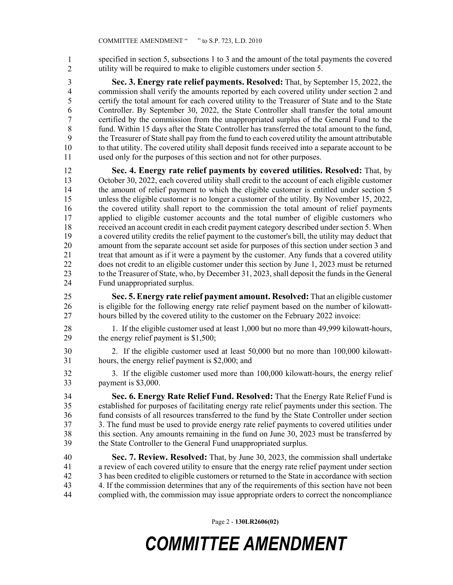specified in section 5, subsections 1 to 3 and the amount of the total payments the covered 35 utility will be required to make to eligible customers under section 5. 1 2

3 **Sec. 3. Energy rate relief payments. Resolved:** That, by September 15, 2022, the 4 commission shall verify the amounts reported by each covered utility under section 2 and 5 certify the total amount for each covered utility to the Treasurer of State and to the State 6 Controller. By September 30, 2022, the State Controller shall transfer the total amount 7 certified by the commission from the unappropriated surplus of the General Fund to the 8 fund. Within 15 days after the State Controller has transferred the total amount to the fund, 9 the Treasurer of State shall pay from the fund to each covered utility the amount attributable 10 to that utility. The covered utility shall deposit funds received into a separate account to be 11 used only for the purposes of this section and not for other purposes.

12 **Sec. 4. Energy rate relief payments by covered utilities. Resolved:** That, by 13 October 30, 2022, each covered utility shall credit to the account of each eligible customer 14 the amount of relief payment to which the eligible customer is entitled under section 5 15 unless the eligible customer is no longer a customer of the utility. By November 15, 2022, 16 the covered utility shall report to the commission the total amount of relief payments 17 applied to eligible customer accounts and the total number of eligible customers who 18 received an account credit in each credit payment category described under section 5. When 19 a covered utility credits the relief payment to the customer's bill, the utility may deduct that 20 amount from the separate account set aside for purposes of this section under section 3 and 21 treat that amount as if it were a payment by the customer. Any funds that a covered utility 22 does not credit to an eligible customer under this section by June 1, 2023 must be returned 23 to the Treasurer of State, who, by December 31, 2023, shall deposit the funds in the General 24 Fund unappropriated surplus.

25 **Sec. 5. Energy rate relief payment amount. Resolved:** That an eligible customer 26 is eligible for the following energy rate relief payment based on the number of kilowatt-27 hours billed by the covered utility to the customer on the February 2022 invoice:

28 1. If the eligible customer used at least 1,000 but no more than 49,999 kilowatt-hours, 29 the energy relief payment is \$1,500;

30 2. If the eligible customer used at least 50,000 but no more than 100,000 kilowatt-31 hours, the energy relief payment is \$2,000; and

32 3. If the eligible customer used more than 100,000 kilowatt-hours, the energy relief 33 payment is \$3,000.

34 **Sec. 6. Energy Rate Relief Fund. Resolved:** That the Energy Rate Relief Fund is 35 established for purposes of facilitating energy rate relief payments under this section. The 36 fund consists of all resources transferred to the fund by the State Controller under section 37 3. The fund must be used to provide energy rate relief payments to covered utilities under 38 this section. Any amounts remaining in the fund on June 30, 2023 must be transferred by 39 the State Controller to the General Fund unappropriated surplus.

40 **Sec. 7. Review. Resolved:** That, by June 30, 2023, the commission shall undertake 41 a review of each covered utility to ensure that the energy rate relief payment under section 42 3 has been credited to eligible customers or returned to the State in accordance with section 43 4. If the commission determines that any of the requirements of this section have not been 44 complied with, the commission may issue appropriate orders to correct the noncompliance

Page 2 - **130LR2606(02)**

## *COMMITTEE AMENDMENT*